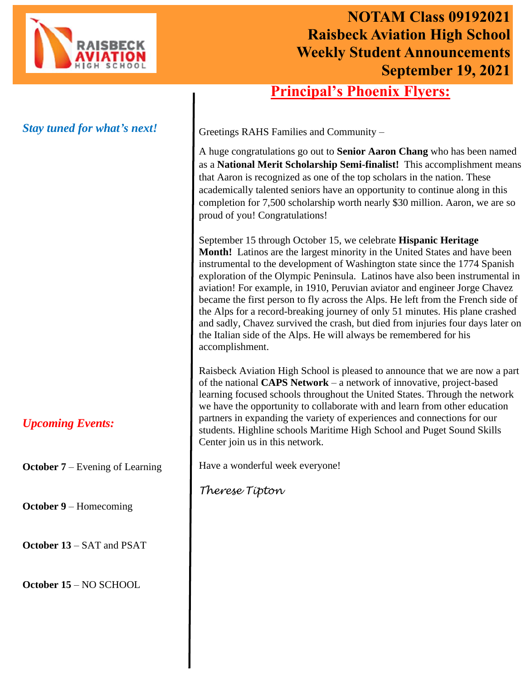

# **NOTAM Class 09192021 Raisbeck Aviation High School Weekly Student Announcements September 19, 2021**

# **Principal's Phoenix Flyers:**

## *Stay tuned for what's next!*

## *Upcoming Events:*

**October 7** – Evening of Learning

**October 9** – Homecoming

**October 13** – SAT and PSAT

**October 15** – NO SCHOOL

Greetings RAHS Families and Community –

A huge congratulations go out to **Senior Aaron Chang** who has been named as a **National Merit Scholarship Semi-finalist!** This accomplishment means that Aaron is recognized as one of the top scholars in the nation. These academically talented seniors have an opportunity to continue along in this completion for 7,500 scholarship worth nearly \$30 million. Aaron, we are so proud of you! Congratulations!

September 15 through October 15, we celebrate **Hispanic Heritage Month!** Latinos are the largest minority in the United States and have been instrumental to the development of Washington state since the 1774 Spanish exploration of the Olympic Peninsula. Latinos have also been instrumental in aviation! For example, in 1910, Peruvian aviator and engineer Jorge Chavez became the first person to fly across the Alps. He left from the French side of the Alps for a record-breaking journey of only 51 minutes. His plane crashed and sadly, Chavez survived the crash, but died from injuries four days later on the Italian side of the Alps. He will always be remembered for his accomplishment.

Raisbeck Aviation High School is pleased to announce that we are now a part of the national **CAPS Network** – a network of innovative, project-based learning focused schools throughout the United States. Through the network we have the opportunity to collaborate with and learn from other education partners in expanding the variety of experiences and connections for our students. Highline schools Maritime High School and Puget Sound Skills Center join us in this network.

Have a wonderful week everyone!

*Therese Tipton*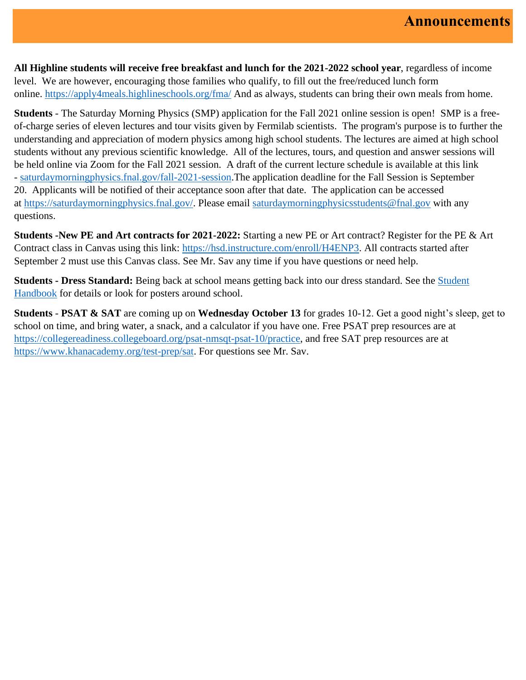**All Highline students will receive free breakfast and lunch for the 2021-2022 school year**, regardless of income level. We are however, encouraging those families who qualify, to fill out the free/reduced lunch form online. [https://apply4meals.highlineschools.org/fma/](https://nam10.safelinks.protection.outlook.com/?url=https%3A%2F%2Fapply4meals.highlineschools.org%2Ffma%2F&data=04%7C01%7CTrish.McGuire%40highlineschools.org%7Cacf76fe2d5e740e059b408d96b5d3a1c%7Ce56e55358e7b44d0bfa81d50833ab846%7C1%7C0%7C637658870418879794%7CUnknown%7CTWFpbGZsb3d8eyJWIjoiMC4wLjAwMDAiLCJQIjoiV2luMzIiLCJBTiI6Ik1haWwiLCJXVCI6Mn0%3D%7C1000&sdata=PXm9%2FbLf7dKk2F5HFrjD8RVU712WFkcdFJmXSomnQuM%3D&reserved=0) And as always, students can bring their own meals from home.

**Students** - The Saturday Morning Physics (SMP) application for the Fall 2021 online session is open! SMP is a freeof-charge series of eleven lectures and tour visits given by Fermilab scientists. The program's purpose is to further the understanding and appreciation of modern physics among high school students. The lectures are aimed at high school students without any previous scientific knowledge. All of the lectures, tours, and question and answer sessions will be held online via Zoom for the Fall 2021 session. A draft of the current lecture schedule is available at this link - [saturdaymorningphysics.fnal.gov/fall-2021-session.](https://nam10.safelinks.protection.outlook.com/?url=https%3A%2F%2Fsaturdaymorningphysics.fnal.gov%2Ffall-2021-session%2F&data=04%7C01%7CTrish.McGuire%40highlineschools.org%7C37229a844e08402bb1ec08d97855c6ea%7Ce56e55358e7b44d0bfa81d50833ab846%7C1%7C0%7C637673132075927744%7CUnknown%7CTWFpbGZsb3d8eyJWIjoiMC4wLjAwMDAiLCJQIjoiV2luMzIiLCJBTiI6Ik1haWwiLCJXVCI6Mn0%3D%7C1000&sdata=ynM54Hi%2FeEoNxLncTSatsavwFd3kcoirfw10ks9ZoQg%3D&reserved=0)The application deadline for the Fall Session is September 20. Applicants will be notified of their acceptance soon after that date. The application can be accessed at [https://saturdaymorningphysics.fnal.gov/.](https://nam10.safelinks.protection.outlook.com/?url=https%3A%2F%2Fsaturdaymorningphysics.fnal.gov%2F&data=04%7C01%7CTrish.McGuire%40highlineschools.org%7C37229a844e08402bb1ec08d97855c6ea%7Ce56e55358e7b44d0bfa81d50833ab846%7C1%7C0%7C637673132075927744%7CUnknown%7CTWFpbGZsb3d8eyJWIjoiMC4wLjAwMDAiLCJQIjoiV2luMzIiLCJBTiI6Ik1haWwiLCJXVCI6Mn0%3D%7C1000&sdata=EWtwASUM7uHxxNIzdHI3WzqtKeuPV3zB094vkF7LA4A%3D&reserved=0) Please email [saturdaymorningphysicsstudents@fnal.gov](mailto:saturdaymorningphysicsstudents@fnal.gov) with any questions.

**Students -New PE and Art contracts for 2021-2022:** Starting a new PE or Art contract? Register for the PE & Art Contract class in Canvas using this link: [https://hsd.instructure.com/enroll/H4ENP3.](https://nam10.safelinks.protection.outlook.com/?url=https%3A%2F%2Fhsd.instructure.com%2Fenroll%2FH4ENP3&data=04%7C01%7CTrish.McGuire%40highlineschools.org%7C89160c4a9d534528ee5b08d9793843ac%7Ce56e55358e7b44d0bfa81d50833ab846%7C1%7C0%7C637674104825977307%7CUnknown%7CTWFpbGZsb3d8eyJWIjoiMC4wLjAwMDAiLCJQIjoiV2luMzIiLCJBTiI6Ik1haWwiLCJXVCI6Mn0%3D%7C1000&sdata=gi69m0xOtj7nDXFUBeyNe0kxHqphaDvbI7fcpbo3mMc%3D&reserved=0) All contracts started after September 2 must use this Canvas class. See Mr. Sav any time if you have questions or need help.

**Students - Dress Standard:** Being back at school means getting back into our dress standard. See the [Student](https://nam10.safelinks.protection.outlook.com/?url=https%3A%2F%2Frahs.highlineschools.org%2Fabout%2Fstudent-handbook&data=04%7C01%7CTrish.McGuire%40highlineschools.org%7C89160c4a9d534528ee5b08d9793843ac%7Ce56e55358e7b44d0bfa81d50833ab846%7C1%7C0%7C637674104825977307%7CUnknown%7CTWFpbGZsb3d8eyJWIjoiMC4wLjAwMDAiLCJQIjoiV2luMzIiLCJBTiI6Ik1haWwiLCJXVCI6Mn0%3D%7C1000&sdata=G73vgBcEdPicDg4TffxqjntYy84nAEVX5SjdwG70h6Q%3D&reserved=0)  [Handbook](https://nam10.safelinks.protection.outlook.com/?url=https%3A%2F%2Frahs.highlineschools.org%2Fabout%2Fstudent-handbook&data=04%7C01%7CTrish.McGuire%40highlineschools.org%7C89160c4a9d534528ee5b08d9793843ac%7Ce56e55358e7b44d0bfa81d50833ab846%7C1%7C0%7C637674104825977307%7CUnknown%7CTWFpbGZsb3d8eyJWIjoiMC4wLjAwMDAiLCJQIjoiV2luMzIiLCJBTiI6Ik1haWwiLCJXVCI6Mn0%3D%7C1000&sdata=G73vgBcEdPicDg4TffxqjntYy84nAEVX5SjdwG70h6Q%3D&reserved=0) for details or look for posters around school.

**Students** - **PSAT & SAT** are coming up on **Wednesday October 13** for grades 10-12. Get a good night's sleep, get to school on time, and bring water, a snack, and a calculator if you have one. Free PSAT prep resources are at [https://collegereadiness.collegeboard.org/psat-nmsqt-psat-10/practice,](https://nam10.safelinks.protection.outlook.com/?url=https%3A%2F%2Fcollegereadiness.collegeboard.org%2Fpsat-nmsqt-psat-10%2Fpractice&data=04%7C01%7CTrish.McGuire%40highlineschools.org%7C89160c4a9d534528ee5b08d9793843ac%7Ce56e55358e7b44d0bfa81d50833ab846%7C1%7C0%7C637674104825987263%7CUnknown%7CTWFpbGZsb3d8eyJWIjoiMC4wLjAwMDAiLCJQIjoiV2luMzIiLCJBTiI6Ik1haWwiLCJXVCI6Mn0%3D%7C1000&sdata=eAkWUEDIwd%2FJwyxDHJ7N%2BZ2Wd%2FsRUI20lIa6n3sGEuU%3D&reserved=0) and free SAT prep resources are at [https://www.khanacademy.org/test-prep/sat.](https://nam10.safelinks.protection.outlook.com/?url=https%3A%2F%2Fwww.khanacademy.org%2Ftest-prep%2Fsat&data=04%7C01%7CTrish.McGuire%40highlineschools.org%7C89160c4a9d534528ee5b08d9793843ac%7Ce56e55358e7b44d0bfa81d50833ab846%7C1%7C0%7C637674104825987263%7CUnknown%7CTWFpbGZsb3d8eyJWIjoiMC4wLjAwMDAiLCJQIjoiV2luMzIiLCJBTiI6Ik1haWwiLCJXVCI6Mn0%3D%7C1000&sdata=CxJ6%2FXk0O%2BjZqhGIodUMiT57QJgFQTMqQHGconZKXSE%3D&reserved=0) For questions see Mr. Sav.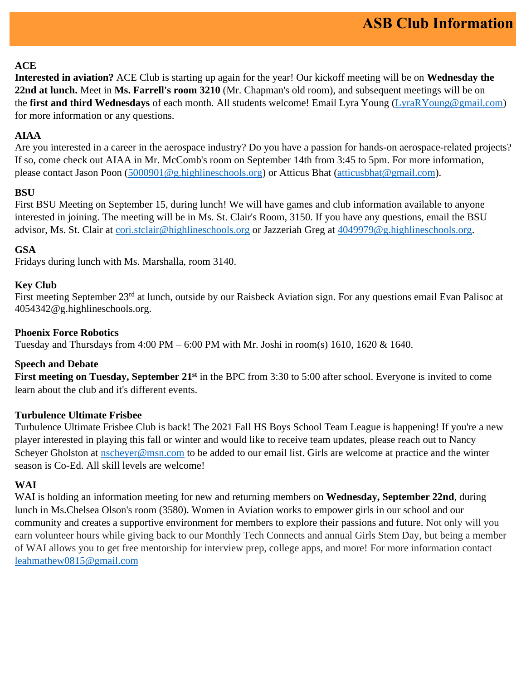## **ACE**

**Interested in aviation?** ACE Club is starting up again for the year! Our kickoff meeting will be on **Wednesday the 22nd at lunch.** Meet in **Ms. Farrell's room 3210** (Mr. Chapman's old room), and subsequent meetings will be on the **first and third Wednesdays** of each month. All students welcome! Email Lyra Young [\(LyraRYoung@gmail.com\)](mailto:LyraRYoung@gmail.com) for more information or any questions.

## **AIAA**

Are you interested in a career in the aerospace industry? Do you have a passion for hands-on aerospace-related projects? If so, come check out AIAA in Mr. McComb's room on September 14th from 3:45 to 5pm. For more information, please contact Jason Poon [\(5000901@g.highlineschools.org\)](mailto:5000901@g.highlineschools.org) or Atticus Bhat [\(atticusbhat@gmail.com\)](mailto:atticusbhat@gmail.com).

## **BSU**

First BSU Meeting on September 15, during lunch! We will have games and club information available to anyone interested in joining. The meeting will be in Ms. St. Clair's Room, 3150. If you have any questions, email the BSU advisor, Ms. St. Clair at [cori.stclair@highlineschools.org](mailto:cori.stclair@highlineschools.org) or Jazzeriah Greg at [4049979@g.highlineschools.org.](mailto:4049979@g.highlineschools.org)

## **GSA**

Fridays during lunch with Ms. Marshalla, room 3140.

## **Key Club**

First meeting September 23<sup>rd</sup> at lunch, outside by our Raisbeck Aviation sign. For any questions email Evan Palisoc at 4054342@g.highlineschools.org.

## **Phoenix Force Robotics**

Tuesday and Thursdays from 4:00 PM – 6:00 PM with Mr. Joshi in room(s) 1610, 1620 & 1640.

## **Speech and Debate**

First meeting on Tuesday, September 21<sup>st</sup> in the BPC from 3:30 to 5:00 after school. Everyone is invited to come learn about the club and it's different events.

## **Turbulence Ultimate Frisbee**

Turbulence Ultimate Frisbee Club is back! The 2021 Fall HS Boys School Team League is happening! If you're a new player interested in playing this fall or winter and would like to receive team updates, please reach out to Nancy Scheyer Gholston at [nscheyer@msn.com](mailto:nscheyer@msn.com) to be added to our email list. Girls are welcome at practice and the winter season is Co-Ed. All skill levels are welcome!

## **WAI**

WAI is holding an information meeting for new and returning members on **Wednesday, September 22nd**, during lunch in Ms.Chelsea Olson's room (3580). Women in Aviation works to empower girls in our school and our community and creates a supportive environment for members to explore their passions and future. Not only will you earn volunteer hours while giving back to our Monthly Tech Connects and annual Girls Stem Day, but being a member of WAI allows you to get free mentorship for interview prep, college apps, and more! For more information contact [leahmathew0815@gmail.com](mailto:leahmathew0815@gmail.com)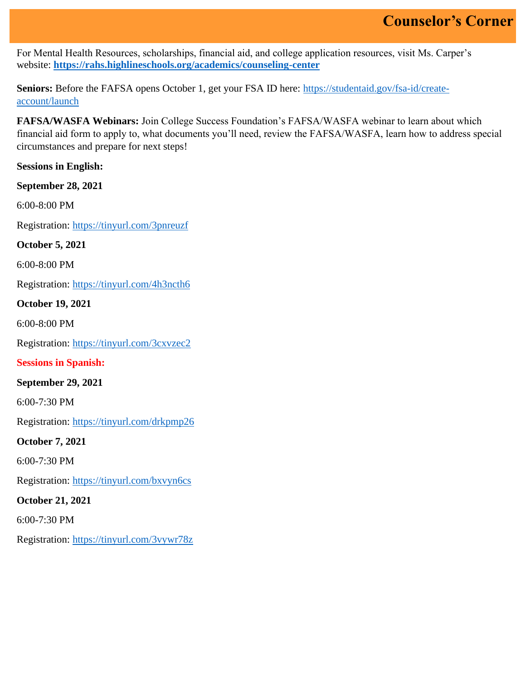For Mental Health Resources, scholarships, financial aid, and college application resources, visit Ms. Carper's website: **<https://rahs.highlineschools.org/academics/counseling-center>**

Seniors: Before the FAFSA opens October 1, get your FSA ID here: [https://studentaid.gov/fsa-id/create](https://nam10.safelinks.protection.outlook.com/?url=https%3A%2F%2Fstudentaid.gov%2Ffsa-id%2Fcreate-account%2Flaunch&data=04%7C01%7CTrish.McGuire%40highlineschools.org%7C0ca08b85467248ddf95908d979579d81%7Ce56e55358e7b44d0bfa81d50833ab846%7C1%7C0%7C637674239470442368%7CUnknown%7CTWFpbGZsb3d8eyJWIjoiMC4wLjAwMDAiLCJQIjoiV2luMzIiLCJBTiI6Ik1haWwiLCJXVCI6Mn0%3D%7C1000&sdata=NkRh%2FeMAcul%2Bn6lpDmXHGhVagyHckajivalvSGpd%2BVQ%3D&reserved=0)[account/launch](https://nam10.safelinks.protection.outlook.com/?url=https%3A%2F%2Fstudentaid.gov%2Ffsa-id%2Fcreate-account%2Flaunch&data=04%7C01%7CTrish.McGuire%40highlineschools.org%7C0ca08b85467248ddf95908d979579d81%7Ce56e55358e7b44d0bfa81d50833ab846%7C1%7C0%7C637674239470442368%7CUnknown%7CTWFpbGZsb3d8eyJWIjoiMC4wLjAwMDAiLCJQIjoiV2luMzIiLCJBTiI6Ik1haWwiLCJXVCI6Mn0%3D%7C1000&sdata=NkRh%2FeMAcul%2Bn6lpDmXHGhVagyHckajivalvSGpd%2BVQ%3D&reserved=0)

**FAFSA/WASFA Webinars:** Join College Success Foundation's FAFSA/WASFA webinar to learn about which financial aid form to apply to, what documents you'll need, review the FAFSA/WASFA, learn how to address special circumstances and prepare for next steps!

#### **Sessions in English:**

**September 28, 2021** 

6:00-8:00 PM

Registration: [https://tinyurl.com/3pnreuzf](https://nam10.safelinks.protection.outlook.com/?url=https%3A%2F%2Ftinyurl.com%2F3pnreuzf&data=04%7C01%7CTrish.McGuire%40highlineschools.org%7C93c66dd4f16245de69e808d973d1c624%7Ce56e55358e7b44d0bfa81d50833ab846%7C1%7C0%7C637668167066511790%7CUnknown%7CTWFpbGZsb3d8eyJWIjoiMC4wLjAwMDAiLCJQIjoiV2luMzIiLCJBTiI6Ik1haWwiLCJXVCI6Mn0%3D%7C1000&sdata=2N3lc1oK3k1o1GYKMqFfxmSacjVTeCVvVlDV3uE6FJw%3D&reserved=0)

**October 5, 2021**

6:00-8:00 PM

Registration: [https://tinyurl.com/4h3ncth6](https://nam10.safelinks.protection.outlook.com/?url=https%3A%2F%2Ftinyurl.com%2F4h3ncth6&data=04%7C01%7CTrish.McGuire%40highlineschools.org%7C93c66dd4f16245de69e808d973d1c624%7Ce56e55358e7b44d0bfa81d50833ab846%7C1%7C0%7C637668167066521749%7CUnknown%7CTWFpbGZsb3d8eyJWIjoiMC4wLjAwMDAiLCJQIjoiV2luMzIiLCJBTiI6Ik1haWwiLCJXVCI6Mn0%3D%7C1000&sdata=g72786QN8B482G0YK0NQhU8EeLRWAJhlslKm%2FDY%2FRss%3D&reserved=0)

#### **October 19, 2021**

6:00-8:00 PM

Registration: [https://tinyurl.com/3cxvzec2](https://nam10.safelinks.protection.outlook.com/?url=https%3A%2F%2Ftinyurl.com%2F3cxvzec2&data=04%7C01%7CTrish.McGuire%40highlineschools.org%7C93c66dd4f16245de69e808d973d1c624%7Ce56e55358e7b44d0bfa81d50833ab846%7C1%7C0%7C637668167066531687%7CUnknown%7CTWFpbGZsb3d8eyJWIjoiMC4wLjAwMDAiLCJQIjoiV2luMzIiLCJBTiI6Ik1haWwiLCJXVCI6Mn0%3D%7C1000&sdata=LPDZSeP1fH6769mjM8IyY7ORTdW%2FrEAnnlod6ARLvug%3D&reserved=0)

#### **Sessions in Spanish:**

**September 29, 2021**

6:00-7:30 PM

Registration: [https://tinyurl.com/drkpmp26](https://nam10.safelinks.protection.outlook.com/?url=https%3A%2F%2Ftinyurl.com%2Fdrkpmp26&data=04%7C01%7CTrish.McGuire%40highlineschools.org%7C93c66dd4f16245de69e808d973d1c624%7Ce56e55358e7b44d0bfa81d50833ab846%7C1%7C0%7C637668167066531687%7CUnknown%7CTWFpbGZsb3d8eyJWIjoiMC4wLjAwMDAiLCJQIjoiV2luMzIiLCJBTiI6Ik1haWwiLCJXVCI6Mn0%3D%7C1000&sdata=ej1Ld2HDicmIVVKqNrhGMRloqL%2BQ7T8vBOOgvaEFG24%3D&reserved=0)

**October 7, 2021**

6:00-7:30 PM

Registration: [https://tinyurl.com/bxvyn6cs](https://nam10.safelinks.protection.outlook.com/?url=https%3A%2F%2Ftinyurl.com%2Fbxvyn6cs&data=04%7C01%7CTrish.McGuire%40highlineschools.org%7C93c66dd4f16245de69e808d973d1c624%7Ce56e55358e7b44d0bfa81d50833ab846%7C1%7C0%7C637668167066541641%7CUnknown%7CTWFpbGZsb3d8eyJWIjoiMC4wLjAwMDAiLCJQIjoiV2luMzIiLCJBTiI6Ik1haWwiLCJXVCI6Mn0%3D%7C1000&sdata=Pia5ehkDccli%2B6ES3nfOogxdSak7ME0ShBd3e4mPbmQ%3D&reserved=0)

## **October 21, 2021**

6:00-7:30 PM

Registration: [https://tinyurl.com/3vywr78z](https://nam10.safelinks.protection.outlook.com/?url=https%3A%2F%2Ftinyurl.com%2F3vywr78z&data=04%7C01%7CTrish.McGuire%40highlineschools.org%7C93c66dd4f16245de69e808d973d1c624%7Ce56e55358e7b44d0bfa81d50833ab846%7C1%7C0%7C637668167066541641%7CUnknown%7CTWFpbGZsb3d8eyJWIjoiMC4wLjAwMDAiLCJQIjoiV2luMzIiLCJBTiI6Ik1haWwiLCJXVCI6Mn0%3D%7C1000&sdata=rV%2Bt%2FIhGTn9oyhYk%2FblOh6kuVkc8Ve2nZYZFi%2FMOO2Y%3D&reserved=0)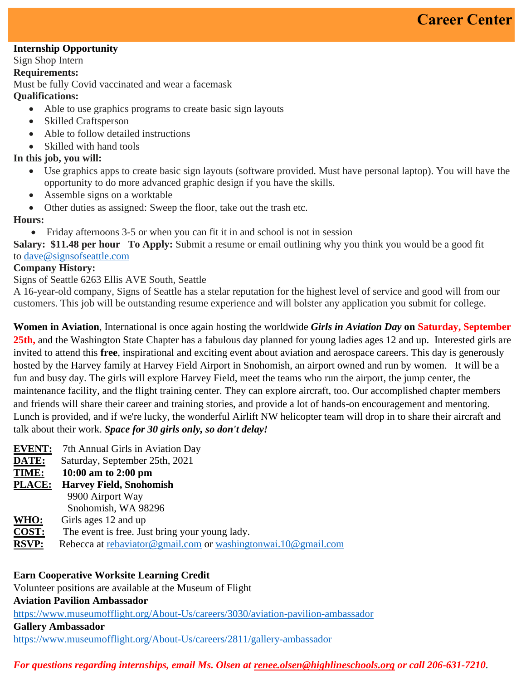#### **Internship Opportunity**

Sign Shop Intern

#### **Requirements:**

Must be fully Covid vaccinated and wear a facemask

#### **Qualifications:**

- Able to use graphics programs to create basic sign layouts
- Skilled Craftsperson
- Able to follow detailed instructions
- Skilled with hand tools

#### **In this job, you will:**

- Use graphics apps to create basic sign layouts (software provided. Must have personal laptop). You will have the opportunity to do more advanced graphic design if you have the skills.
- Assemble signs on a worktable
- Other duties as assigned: Sweep the floor, take out the trash etc.

#### **Hours:**

• Friday afternoons 3-5 or when you can fit it in and school is not in session

**Salary: \$11.48 per hour To Apply:** Submit a resume or email outlining why you think you would be a good fit to [dave@signsofs](mailto:dave@signsof)eattle.com

#### **Company History:**

#### Signs of Seattle 6263 Ellis AVE South, Seattle

A 16-year-old company, Signs of Seattle has a stelar reputation for the highest level of service and good will from our customers. This job will be outstanding resume experience and will bolster any application you submit for college.

**Women in Aviation**, International is once again hosting the worldwide *Girls in Aviation Day* **on Saturday, September 25th,** and the Washington State Chapter has a fabulous day planned for young ladies ages 12 and up. Interested girls are invited to attend this **free**, inspirational and exciting event about aviation and aerospace careers. This day is generously hosted by the Harvey family at Harvey Field Airport in Snohomish, an airport owned and run by women. It will be a fun and busy day. The girls will explore Harvey Field, meet the teams who run the airport, the jump center, the maintenance facility, and the flight training center. They can explore aircraft, too. Our accomplished chapter members and friends will share their career and training stories, and provide a lot of hands-on encouragement and mentoring. Lunch is provided, and if we're lucky, the wonderful Airlift NW helicopter team will drop in to share their aircraft and talk about their work. *Space for 30 girls only, so don't delay!*

- **EVENT:** 7th Annual Girls in Aviation Day
- **DATE:** Saturday, September 25th, 2021
- **TIME: 10:00 am to 2:00 pm**
- **PLACE: Harvey Field, Snohomish**
	- 9900 Airport Way
	- Snohomish, WA 98296
- **WHO:** Girls ages 12 and up
- **COST:** The event is free. Just bring your young lady.
- **RSVP:** Rebecca at [rebaviator@gmail.com](mailto:rebaviator@gmail.com) or [washingtonwai.10@gmail.com](mailto:washingtonwai.10@gmail.com)

## **Earn Cooperative Worksite Learning Credit**

Volunteer positions are available at the Museum of Flight **Aviation Pavilion Ambassador** [https://www.museumofflight.org/About-Us/careers/3030/aviation-pavilion-ambassador](https://nam10.safelinks.protection.outlook.com/?url=https%3A%2F%2Fwww.museumofflight.org%2FAbout-Us%2Fcareers%2F3030%2Faviation-pavilion-ambassador&data=04%7C01%7CTrish.McGuire%40highlineschools.org%7C6c1af608f73441edec9b08d97a2f664c%7Ce56e55358e7b44d0bfa81d50833ab846%7C1%7C0%7C637675166257251175%7CUnknown%7CTWFpbGZsb3d8eyJWIjoiMC4wLjAwMDAiLCJQIjoiV2luMzIiLCJBTiI6Ik1haWwiLCJXVCI6Mn0%3D%7C1000&sdata=Gu8YAytUG%2Bdnxm3DXQq8lFYdr3rWpSL%2F6wYCY0o19z0%3D&reserved=0) **Gallery Ambassador** [https://www.museumofflight.org/About-Us/careers/2811/gallery-ambassador](https://nam10.safelinks.protection.outlook.com/?url=https%3A%2F%2Fwww.museumofflight.org%2FAbout-Us%2Fcareers%2F2811%2Fgallery-ambassador&data=04%7C01%7CTrish.McGuire%40highlineschools.org%7C6c1af608f73441edec9b08d97a2f664c%7Ce56e55358e7b44d0bfa81d50833ab846%7C1%7C0%7C637675166257261132%7CUnknown%7CTWFpbGZsb3d8eyJWIjoiMC4wLjAwMDAiLCJQIjoiV2luMzIiLCJBTiI6Ik1haWwiLCJXVCI6Mn0%3D%7C1000&sdata=JLNNY2t0BC2YEScvSHvtv8Vre9bgOnWdWbVzXPCJhiU%3D&reserved=0)

## *For questions regarding internships, email Ms. Olsen at [renee.olsen@highlineschools.org](mailto:renee.olsen@highlineschools.org) or call 206-631-7210*.